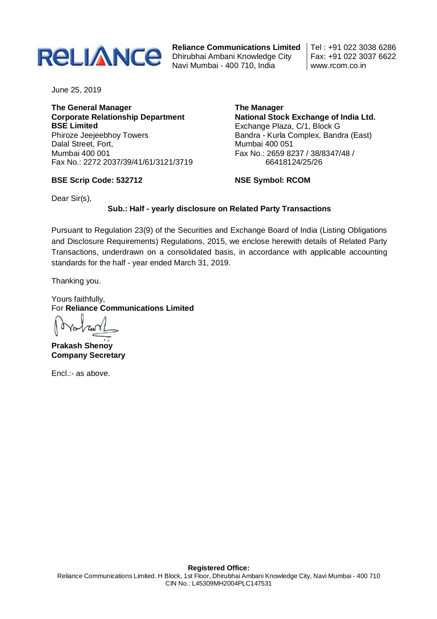

**Reliance Communications Limited** Navi Mumbai - 400 710, India

Tel : +91 022 3038 6286 Fax: +91 022 3037 6622 www.rcom.co.in

June 25, 2019

**The General Manager Corporate Relationship Department BSE Limited** Phiroze Jeejeebhoy Towers Dalal Street, Fort, Mumbai 400 001 Fax No.: 2272 2037/39/41/61/3121/3719

**BSE Scrip Code: 532712**

**The Manager National Stock Exchange of India Ltd.** Exchange Plaza, C/1, Block G Bandra - Kurla Complex, Bandra (East) Mumbai 400 051 Fax No.: 2659 8237 / 38/8347/48 / 66418124/25/26

**NSE Symbol: RCOM**

Dear Sir(s),

## **Sub.: Half - yearly disclosure on Related Party Transactions**

Pursuant to Regulation 23(9) of the Securities and Exchange Board of India (Listing Obligations and Disclosure Requirements) Regulations, 2015, we enclose herewith details of Related Party Transactions, underdrawn on a consolidated basis, in accordance with applicable accounting standards for the half - year ended March 31, 2019.

Thanking you.

Yours faithfully, For **Reliance Communications Limited**

**Prakash Shenoy Company Secretary** 

Encl.:- as above.